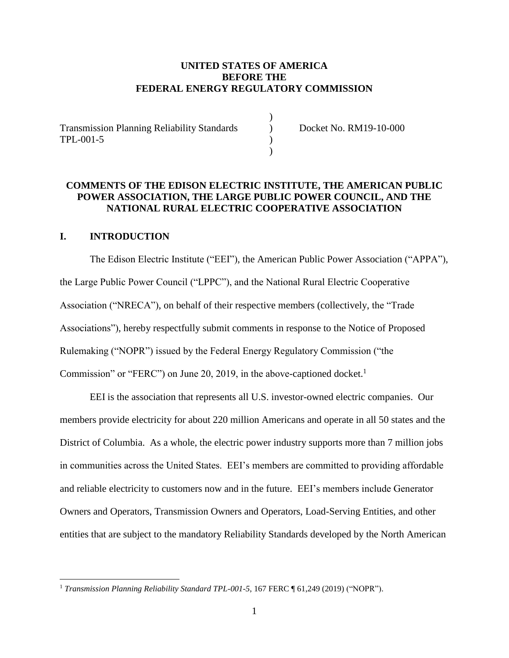## **UNITED STATES OF AMERICA BEFORE THE FEDERAL ENERGY REGULATORY COMMISSION**

)

Transmission Planning Reliability Standards (a) Docket No. RM19-10-000 TPL-001-5 (a)

 $)$ 

# **COMMENTS OF THE EDISON ELECTRIC INSTITUTE, THE AMERICAN PUBLIC POWER ASSOCIATION, THE LARGE PUBLIC POWER COUNCIL, AND THE NATIONAL RURAL ELECTRIC COOPERATIVE ASSOCIATION**

#### **I. INTRODUCTION**

 $\overline{a}$ 

The Edison Electric Institute ("EEI"), the American Public Power Association ("APPA"), the Large Public Power Council ("LPPC"), and the National Rural Electric Cooperative Association ("NRECA"), on behalf of their respective members (collectively, the "Trade Associations"), hereby respectfully submit comments in response to the Notice of Proposed Rulemaking ("NOPR") issued by the Federal Energy Regulatory Commission ("the Commission" or "FERC") on June 20, 2019, in the above-captioned docket.<sup>1</sup>

EEI is the association that represents all U.S. investor-owned electric companies. Our members provide electricity for about 220 million Americans and operate in all 50 states and the District of Columbia. As a whole, the electric power industry supports more than 7 million jobs in communities across the United States. EEI's members are committed to providing affordable and reliable electricity to customers now and in the future. EEI's members include Generator Owners and Operators, Transmission Owners and Operators, Load-Serving Entities, and other entities that are subject to the mandatory Reliability Standards developed by the North American

<sup>&</sup>lt;sup>1</sup> Transmission Planning Reliability Standard TPL-001-5, 167 FERC ¶ 61,249 (2019) ("NOPR").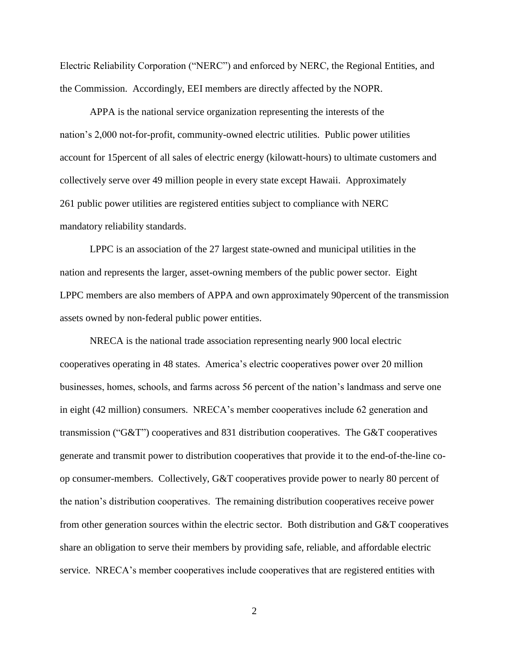Electric Reliability Corporation ("NERC") and enforced by NERC, the Regional Entities, and the Commission. Accordingly, EEI members are directly affected by the NOPR.

APPA is the national service organization representing the interests of the nation's 2,000 not-for-profit, community-owned electric utilities. Public power utilities account for 15percent of all sales of electric energy (kilowatt-hours) to ultimate customers and collectively serve over 49 million people in every state except Hawaii. Approximately 261 public power utilities are registered entities subject to compliance with NERC mandatory reliability standards.

LPPC is an association of the 27 largest state-owned and municipal utilities in the nation and represents the larger, asset-owning members of the public power sector. Eight LPPC members are also members of APPA and own approximately 90percent of the transmission assets owned by non-federal public power entities.

NRECA is the national trade association representing nearly 900 local electric cooperatives operating in 48 states. America's electric cooperatives power over 20 million businesses, homes, schools, and farms across 56 percent of the nation's landmass and serve one in eight (42 million) consumers. NRECA's member cooperatives include 62 generation and transmission ("G&T") cooperatives and 831 distribution cooperatives. The G&T cooperatives generate and transmit power to distribution cooperatives that provide it to the end-of-the-line coop consumer-members. Collectively, G&T cooperatives provide power to nearly 80 percent of the nation's distribution cooperatives. The remaining distribution cooperatives receive power from other generation sources within the electric sector. Both distribution and G&T cooperatives share an obligation to serve their members by providing safe, reliable, and affordable electric service. NRECA's member cooperatives include cooperatives that are registered entities with

2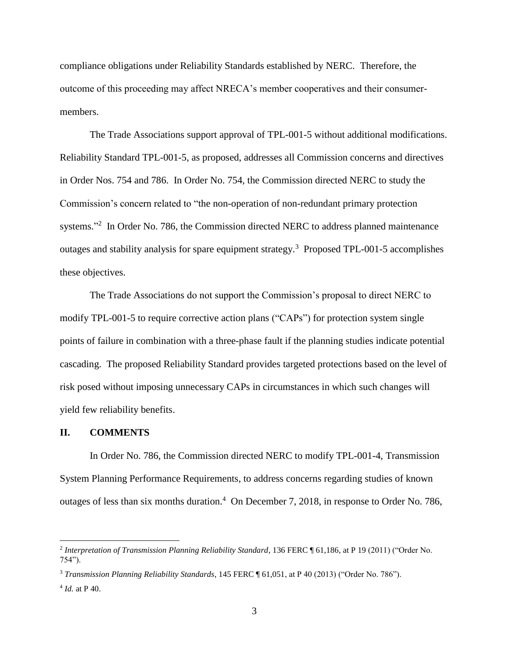compliance obligations under Reliability Standards established by NERC. Therefore, the outcome of this proceeding may affect NRECA's member cooperatives and their consumermembers.

The Trade Associations support approval of TPL-001-5 without additional modifications. Reliability Standard TPL-001-5, as proposed, addresses all Commission concerns and directives in Order Nos. 754 and 786. In Order No. 754, the Commission directed NERC to study the Commission's concern related to "the non-operation of non-redundant primary protection systems."<sup>2</sup> In Order No. 786, the Commission directed NERC to address planned maintenance outages and stability analysis for spare equipment strategy.<sup>3</sup> Proposed TPL-001-5 accomplishes these objectives.

The Trade Associations do not support the Commission's proposal to direct NERC to modify TPL-001-5 to require corrective action plans ("CAPs") for protection system single points of failure in combination with a three-phase fault if the planning studies indicate potential cascading. The proposed Reliability Standard provides targeted protections based on the level of risk posed without imposing unnecessary CAPs in circumstances in which such changes will yield few reliability benefits.

#### **II. COMMENTS**

In Order No. 786, the Commission directed NERC to modify TPL-001-4, Transmission System Planning Performance Requirements, to address concerns regarding studies of known outages of less than six months duration.<sup>4</sup> On December 7, 2018, in response to Order No. 786,

<sup>&</sup>lt;sup>2</sup> Interpretation of Transmission Planning Reliability Standard, 136 FERC ¶ 61,186, at P 19 (2011) ("Order No. 754").

<sup>3</sup> *Transmission Planning Reliability Standards*, 145 FERC ¶ 61,051, at P 40 (2013) ("Order No. 786").

<sup>4</sup> *Id.* at P 40.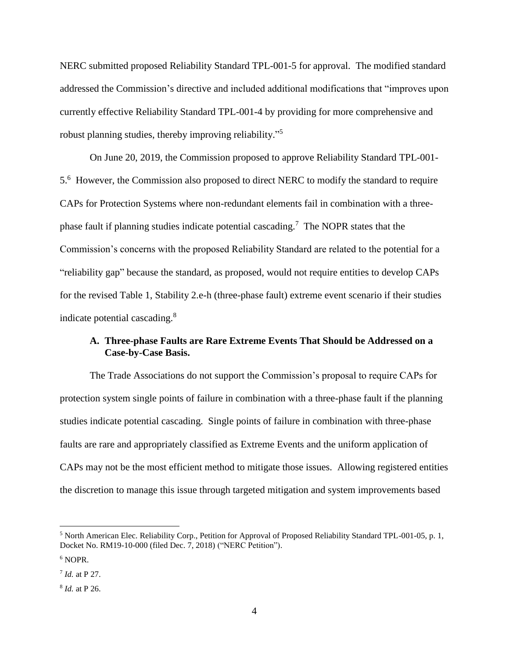NERC submitted proposed Reliability Standard TPL-001-5 for approval. The modified standard addressed the Commission's directive and included additional modifications that "improves upon currently effective Reliability Standard TPL-001-4 by providing for more comprehensive and robust planning studies, thereby improving reliability."<sup>5</sup>

On June 20, 2019, the Commission proposed to approve Reliability Standard TPL-001- 5.6 However, the Commission also proposed to direct NERC to modify the standard to require CAPs for Protection Systems where non-redundant elements fail in combination with a threephase fault if planning studies indicate potential cascading.<sup>7</sup> The NOPR states that the Commission's concerns with the proposed Reliability Standard are related to the potential for a "reliability gap" because the standard, as proposed, would not require entities to develop CAPs for the revised Table 1, Stability 2.e-h (three-phase fault) extreme event scenario if their studies indicate potential cascading.<sup>8</sup>

# **A. Three-phase Faults are Rare Extreme Events That Should be Addressed on a Case-by-Case Basis.**

The Trade Associations do not support the Commission's proposal to require CAPs for protection system single points of failure in combination with a three-phase fault if the planning studies indicate potential cascading. Single points of failure in combination with three-phase faults are rare and appropriately classified as Extreme Events and the uniform application of CAPs may not be the most efficient method to mitigate those issues. Allowing registered entities the discretion to manage this issue through targeted mitigation and system improvements based

<sup>5</sup> North American Elec. Reliability Corp., Petition for Approval of Proposed Reliability Standard TPL-001-05, p. 1, Docket No. RM19-10-000 (filed Dec. 7, 2018) ("NERC Petition").

<sup>&</sup>lt;sup>6</sup> NOPR.

<sup>7</sup> *Id.* at P 27.

<sup>8</sup> *Id.* at P 26.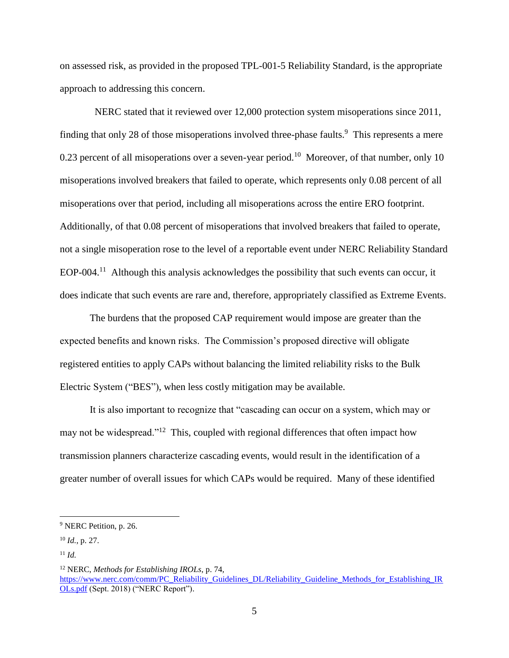on assessed risk, as provided in the proposed TPL-001-5 Reliability Standard, is the appropriate approach to addressing this concern.

 NERC stated that it reviewed over 12,000 protection system misoperations since 2011, finding that only 28 of those misoperations involved three-phase faults.<sup>9</sup> This represents a mere 0.23 percent of all misoperations over a seven-year period.<sup>10</sup> Moreover, of that number, only 10 misoperations involved breakers that failed to operate, which represents only 0.08 percent of all misoperations over that period, including all misoperations across the entire ERO footprint. Additionally, of that 0.08 percent of misoperations that involved breakers that failed to operate, not a single misoperation rose to the level of a reportable event under NERC Reliability Standard EOP-004.<sup>11</sup> Although this analysis acknowledges the possibility that such events can occur, it does indicate that such events are rare and, therefore, appropriately classified as Extreme Events.

The burdens that the proposed CAP requirement would impose are greater than the expected benefits and known risks. The Commission's proposed directive will obligate registered entities to apply CAPs without balancing the limited reliability risks to the Bulk Electric System ("BES"), when less costly mitigation may be available.

It is also important to recognize that "cascading can occur on a system, which may or may not be widespread."<sup>12</sup> This, coupled with regional differences that often impact how transmission planners characterize cascading events, would result in the identification of a greater number of overall issues for which CAPs would be required. Many of these identified

<sup>&</sup>lt;sup>9</sup> NERC Petition, p. 26.

<sup>10</sup> *Id.*, p. 27.

 $11$  *Id.* 

<sup>12</sup> NERC, *Methods for Establishing IROLs*, p. 74, [https://www.nerc.com/comm/PC\\_Reliability\\_Guidelines\\_DL/Reliability\\_Guideline\\_Methods\\_for\\_Establishing\\_IR](https://www.nerc.com/comm/PC_Reliability_Guidelines_DL/Reliability_Guideline_Methods_for_Establishing_IROLs.pdf) [OLs.pdf](https://www.nerc.com/comm/PC_Reliability_Guidelines_DL/Reliability_Guideline_Methods_for_Establishing_IROLs.pdf) (Sept. 2018) ("NERC Report").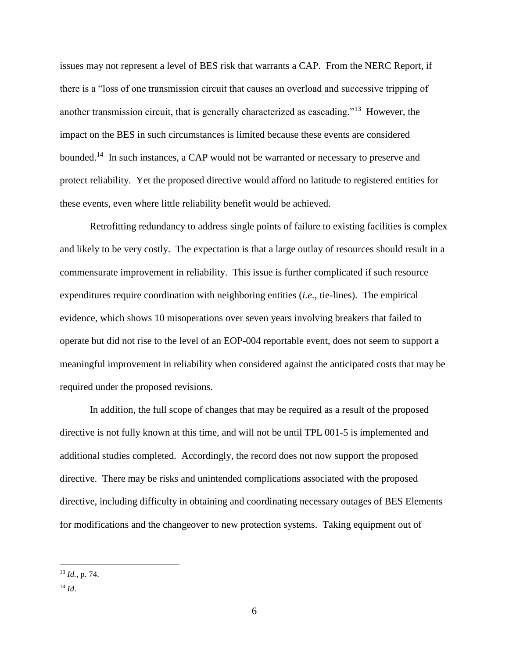issues may not represent a level of BES risk that warrants a CAP. From the NERC Report, if there is a "loss of one transmission circuit that causes an overload and successive tripping of another transmission circuit, that is generally characterized as cascading."<sup>13</sup> However, the impact on the BES in such circumstances is limited because these events are considered bounded.<sup>14</sup> In such instances, a CAP would not be warranted or necessary to preserve and protect reliability. Yet the proposed directive would afford no latitude to registered entities for these events, even where little reliability benefit would be achieved.

Retrofitting redundancy to address single points of failure to existing facilities is complex and likely to be very costly. The expectation is that a large outlay of resources should result in a commensurate improvement in reliability. This issue is further complicated if such resource expenditures require coordination with neighboring entities (*i.e.*, tie-lines). The empirical evidence, which shows 10 misoperations over seven years involving breakers that failed to operate but did not rise to the level of an EOP-004 reportable event, does not seem to support a meaningful improvement in reliability when considered against the anticipated costs that may be required under the proposed revisions.

In addition, the full scope of changes that may be required as a result of the proposed directive is not fully known at this time, and will not be until TPL 001-5 is implemented and additional studies completed. Accordingly, the record does not now support the proposed directive. There may be risks and unintended complications associated with the proposed directive, including difficulty in obtaining and coordinating necessary outages of BES Elements for modifications and the changeover to new protection systems. Taking equipment out of

<sup>13</sup> *Id.*, p. 74.

 $^{14}$  *Id*.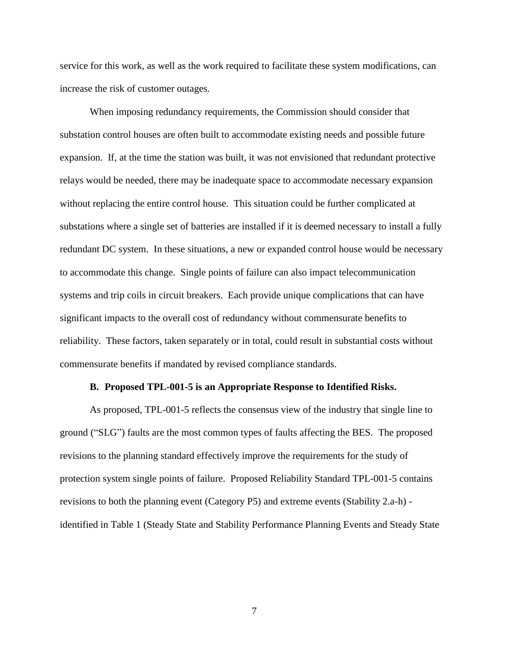service for this work, as well as the work required to facilitate these system modifications, can increase the risk of customer outages.

When imposing redundancy requirements, the Commission should consider that substation control houses are often built to accommodate existing needs and possible future expansion. If, at the time the station was built, it was not envisioned that redundant protective relays would be needed, there may be inadequate space to accommodate necessary expansion without replacing the entire control house. This situation could be further complicated at substations where a single set of batteries are installed if it is deemed necessary to install a fully redundant DC system. In these situations, a new or expanded control house would be necessary to accommodate this change. Single points of failure can also impact telecommunication systems and trip coils in circuit breakers. Each provide unique complications that can have significant impacts to the overall cost of redundancy without commensurate benefits to reliability. These factors, taken separately or in total, could result in substantial costs without commensurate benefits if mandated by revised compliance standards.

#### **B. Proposed TPL-001-5 is an Appropriate Response to Identified Risks.**

As proposed, TPL-001-5 reflects the consensus view of the industry that single line to ground ("SLG") faults are the most common types of faults affecting the BES. The proposed revisions to the planning standard effectively improve the requirements for the study of protection system single points of failure. Proposed Reliability Standard TPL-001-5 contains revisions to both the planning event (Category P5) and extreme events (Stability 2.a-h) identified in Table 1 (Steady State and Stability Performance Planning Events and Steady State

7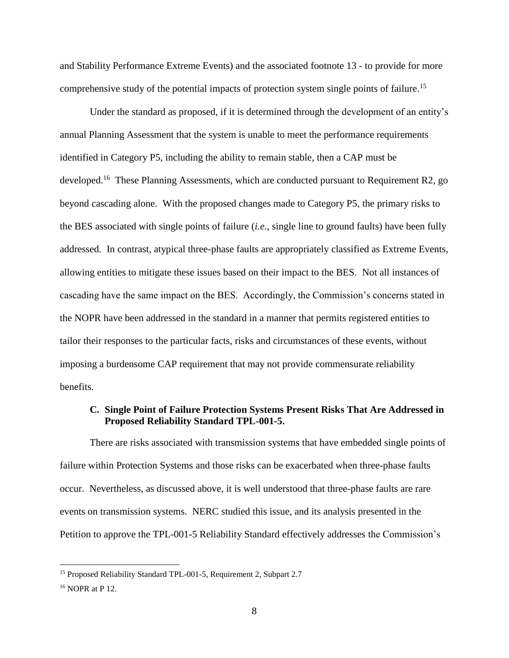and Stability Performance Extreme Events) and the associated footnote 13 - to provide for more comprehensive study of the potential impacts of protection system single points of failure.<sup>15</sup>

Under the standard as proposed, if it is determined through the development of an entity's annual Planning Assessment that the system is unable to meet the performance requirements identified in Category P5, including the ability to remain stable, then a CAP must be developed.<sup>16</sup> These Planning Assessments, which are conducted pursuant to Requirement R2, go beyond cascading alone. With the proposed changes made to Category P5, the primary risks to the BES associated with single points of failure (*i.e.*, single line to ground faults) have been fully addressed. In contrast, atypical three-phase faults are appropriately classified as Extreme Events, allowing entities to mitigate these issues based on their impact to the BES. Not all instances of cascading have the same impact on the BES. Accordingly, the Commission's concerns stated in the NOPR have been addressed in the standard in a manner that permits registered entities to tailor their responses to the particular facts, risks and circumstances of these events, without imposing a burdensome CAP requirement that may not provide commensurate reliability benefits.

#### **C. Single Point of Failure Protection Systems Present Risks That Are Addressed in Proposed Reliability Standard TPL-001-5.**

There are risks associated with transmission systems that have embedded single points of failure within Protection Systems and those risks can be exacerbated when three-phase faults occur. Nevertheless, as discussed above, it is well understood that three-phase faults are rare events on transmission systems. NERC studied this issue, and its analysis presented in the Petition to approve the TPL-001-5 Reliability Standard effectively addresses the Commission's

<sup>&</sup>lt;sup>15</sup> Proposed Reliability Standard TPL-001-5, Requirement 2, Subpart 2.7

<sup>16</sup> NOPR at P 12.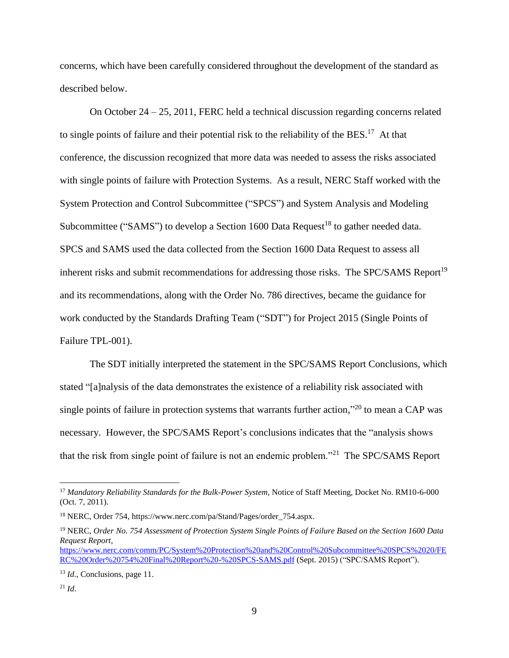concerns, which have been carefully considered throughout the development of the standard as described below.

On October 24 – 25, 2011, FERC held a technical discussion regarding concerns related to single points of failure and their potential risk to the reliability of the BES.<sup>17</sup> At that conference, the discussion recognized that more data was needed to assess the risks associated with single points of failure with Protection Systems. As a result, NERC Staff worked with the System Protection and Control Subcommittee ("SPCS") and System Analysis and Modeling Subcommittee ("SAMS") to develop a Section 1600 Data Request<sup>18</sup> to gather needed data. SPCS and SAMS used the data collected from the Section 1600 Data Request to assess all inherent risks and submit recommendations for addressing those risks. The SPC/SAMS Report<sup>19</sup> and its recommendations, along with the Order No. 786 directives, became the guidance for work conducted by the Standards Drafting Team ("SDT") for Project 2015 (Single Points of Failure TPL-001).

The SDT initially interpreted the statement in the SPC/SAMS Report Conclusions, which stated "[a]nalysis of the data demonstrates the existence of a reliability risk associated with single points of failure in protection systems that warrants further action," $^{20}$  to mean a CAP was necessary. However, the SPC/SAMS Report's conclusions indicates that the "analysis shows that the risk from single point of failure is not an endemic problem."<sup>21</sup> The SPC/SAMS Report

<sup>&</sup>lt;sup>17</sup> Mandatory Reliability Standards for the Bulk-Power System, Notice of Staff Meeting, Docket No. RM10-6-000 (Oct. 7, 2011).

<sup>18</sup> NERC, Order 754, https://www.nerc.com/pa/Stand/Pages/order\_754.aspx.

<sup>19</sup> NERC, *Order No. 754 Assessment of Protection System Single Points of Failure Based on the Section 1600 Data Request Report*, [https://www.nerc.com/comm/PC/System%20Protection%20and%20Control%20Subcommittee%20SPCS%2020/FE](https://www.nerc.com/comm/PC/System%20Protection%20and%20Control%20Subcommittee%20SPCS%2020/FERC%20Order%20754%20Final%20Report%20-%20SPCS-SAMS.pdf) [RC%20Order%20754%20Final%20Report%20-%20SPCS-SAMS.pdf](https://www.nerc.com/comm/PC/System%20Protection%20and%20Control%20Subcommittee%20SPCS%2020/FERC%20Order%20754%20Final%20Report%20-%20SPCS-SAMS.pdf) (Sept. 2015) ("SPC/SAMS Report").

<sup>&</sup>lt;sup>13</sup> *Id.*, Conclusions, page 11.

 $^{21}$  *Id.*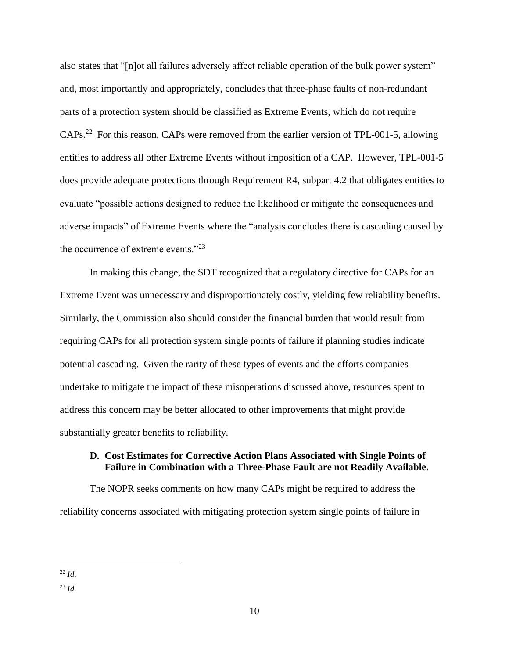also states that "[n]ot all failures adversely affect reliable operation of the bulk power system" and, most importantly and appropriately, concludes that three-phase faults of non-redundant parts of a protection system should be classified as Extreme Events, which do not require CAPs.<sup>22</sup> For this reason, CAPs were removed from the earlier version of TPL-001-5, allowing entities to address all other Extreme Events without imposition of a CAP. However, TPL-001-5 does provide adequate protections through Requirement R4, subpart 4.2 that obligates entities to evaluate "possible actions designed to reduce the likelihood or mitigate the consequences and adverse impacts" of Extreme Events where the "analysis concludes there is cascading caused by the occurrence of extreme events."<sup>23</sup>

In making this change, the SDT recognized that a regulatory directive for CAPs for an Extreme Event was unnecessary and disproportionately costly, yielding few reliability benefits. Similarly, the Commission also should consider the financial burden that would result from requiring CAPs for all protection system single points of failure if planning studies indicate potential cascading. Given the rarity of these types of events and the efforts companies undertake to mitigate the impact of these misoperations discussed above, resources spent to address this concern may be better allocated to other improvements that might provide substantially greater benefits to reliability.

#### **D. Cost Estimates for Corrective Action Plans Associated with Single Points of Failure in Combination with a Three-Phase Fault are not Readily Available.**

The NOPR seeks comments on how many CAPs might be required to address the reliability concerns associated with mitigating protection system single points of failure in

 $\overline{a}$ <sup>22</sup> *Id*.

<sup>23</sup> *Id.*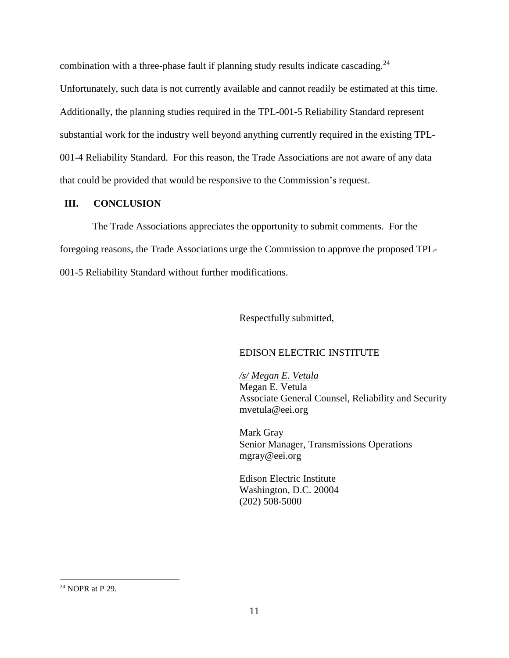combination with a three-phase fault if planning study results indicate cascading.<sup>24</sup> Unfortunately, such data is not currently available and cannot readily be estimated at this time. Additionally, the planning studies required in the TPL-001-5 Reliability Standard represent substantial work for the industry well beyond anything currently required in the existing TPL-001-4 Reliability Standard. For this reason, the Trade Associations are not aware of any data that could be provided that would be responsive to the Commission's request.

# **III. CONCLUSION**

The Trade Associations appreciates the opportunity to submit comments. For the foregoing reasons, the Trade Associations urge the Commission to approve the proposed TPL-001-5 Reliability Standard without further modifications.

Respectfully submitted,

# EDISON ELECTRIC INSTITUTE

*/s/ Megan E. Vetula*  Megan E. Vetula Associate General Counsel, Reliability and Security mvetula@eei.org

Mark Gray Senior Manager, Transmissions Operations mgray@eei.org

Edison Electric Institute Washington, D.C. 20004 (202) 508-5000

<sup>24</sup> NOPR at P 29.